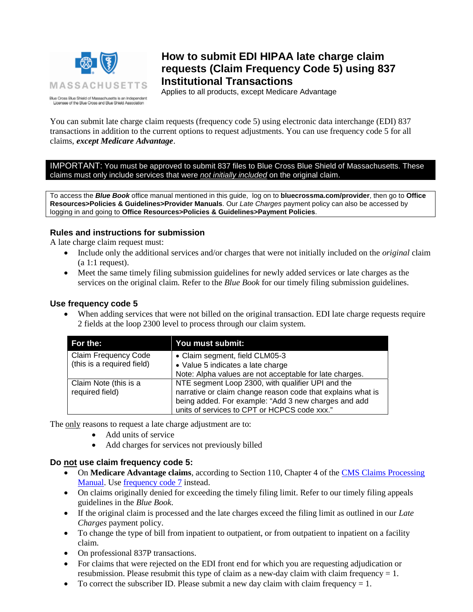

# **How to submit EDI HIPAA late charge claim requests (Claim Frequency Code 5) using 837 Institutional Transactions**

Applies to all products, except Medicare Advantage

You can submit late charge claim requests (frequency code 5) using electronic data interchange (EDI) 837 transactions in addition to the current options to request adjustments. You can use frequency code 5 for all claims, *except Medicare Advantage*.

IMPORTANT: You must be approved to submit 837 files to Blue Cross Blue Shield of Massachusetts. These claims must only include services that were *not initially included* on the original claim.

To access the *Blue Book* office manual mentioned in this guide, log on to **bluecrossma.com/provider**, then go to **Office Resources>Policies & Guidelines>Provider Manuals**. Our *Late Charges* payment policy can also be accessed by logging in and going to **Office Resources>Policies & Guidelines>Payment Policies**.

## **Rules and instructions for submission**

A late charge claim request must:

- Include only the additional services and/or charges that were not initially included on the *original* claim (a 1:1 request).
- Meet the same timely filing submission guidelines for newly added services or late charges as the services on the original claim. Refer to the *Blue Book* for our timely filing submission guidelines.

### **Use frequency code 5**

• When adding services that were not billed on the original transaction. EDI late charge requests require 2 fields at the loop 2300 level to process through our claim system.

| For the:                    | You must submit:                                            |
|-----------------------------|-------------------------------------------------------------|
| <b>Claim Frequency Code</b> | • Claim segment, field CLM05-3                              |
| (this is a required field)  | • Value 5 indicates a late charge                           |
|                             | Note: Alpha values are not acceptable for late charges.     |
| Claim Note (this is a       | NTE segment Loop 2300, with qualifier UPI and the           |
| required field)             | narrative or claim change reason code that explains what is |
|                             | being added. For example: "Add 3 new charges and add        |
|                             | units of services to CPT or HCPCS code xxx."                |

The only reasons to request a late charge adjustment are to:

- Add units of service
- Add charges for services not previously billed

## **Do not use claim frequency code 5:**

- On **Medicare Advantage claims**, according to Section 110, Chapter 4 of the [CMS Claims Processing](https://www.cms.gov/Regulations-and-Guidance/Guidance/Manuals/Downloads/clm104c04.pdf) Manual. Use [frequency code 7](https://www.cms.gov/Regulations-and-Guidance/Guidance/Manuals/Downloads/clm104c04.pdf) instead.
- On claims originally denied for exceeding the timely filing limit. Refer to our timely filing appeals guidelines in the *Blue Book*.
- If the original claim is processed and the late charges exceed the filing limit as outlined in our *Late Charges* payment policy.
- To change the type of bill from inpatient to outpatient, or from outpatient to inpatient on a facility claim.
- On professional 837P transactions.
- For claims that were rejected on the EDI front end for which you are requesting adjudication or resubmission. Please resubmit this type of claim as a new-day claim with claim frequency  $= 1$ .
- To correct the subscriber ID. Please submit a new day claim with claim frequency  $= 1$ .